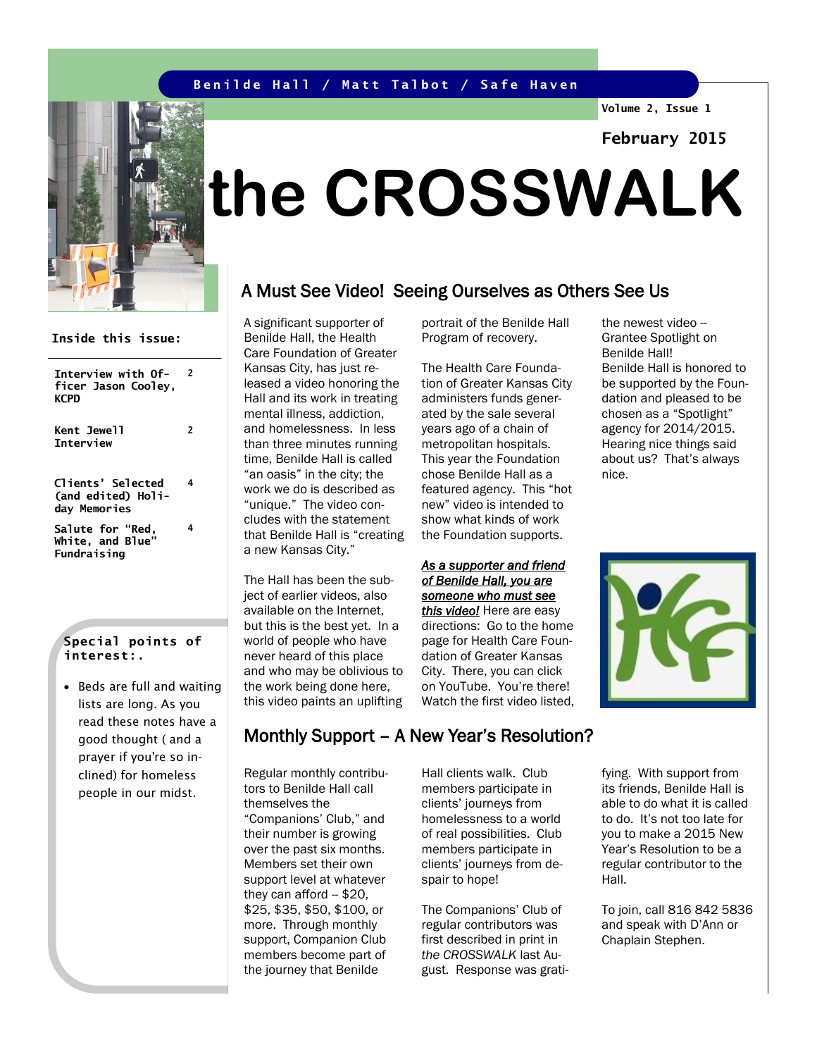### **Benilde Hall / Matt Talbot / Safe Haven**

**Volume 2, Issue 1**

**February 2015**

# **the CROSSWALK**

## A Must See Video! Seeing Ourselves as Others See Us

A significant supporter of Benilde Hall, the Health Care Foundation of Greater Kansas City, has just released a video honoring the Hall and its work in treating mental illness, addiction, and homelessness. In less than three minutes running time, Benilde Hall is called "an oasis" in the city; the work we do is described as "unique." The video concludes with the statement that Benilde Hall is "creating a new Kansas City."

The Hall has been the subject of earlier videos, also available on the Internet, but this is the best yet. In a world of people who have never heard of this place and who may be oblivious to the work being done here, this video paints an uplifting

portrait of the Benilde Hall Program of recovery.

The Health Care Foundation of Greater Kansas City administers funds generated by the sale several years ago of a chain of metropolitan hospitals. This year the Foundation chose Benilde Hall as a featured agency. This "hot new" video is intended to show what kinds of work the Foundation supports.

#### *As a supporter and friend of Benilde Hall, you are someone who must see*

*this video!* Here are easy directions: Go to the home page for Health Care Foundation of Greater Kansas City. There, you can click on YouTube. You're there! Watch the first video listed,

the newest video -- Grantee Spotlight on Benilde Hall! Benilde Hall is honored to be supported by the Foundation and pleased to be chosen as a "Spotlight" agency for 2014/2015. Hearing nice things said about us? That's always nice.



fying. With support from its friends, Benilde Hall is able to do what it is called to do. It's not too late for you to make a 2015 New Year's Resolution to be a regular contributor to the Hall.

To join, call 816 842 5836 and speak with D'Ann or Chaplain Stephen.

## **Interview with Of-**

**Inside this issue:**

**2**

**ficer Jason Cooley, KCPD Kent Jewell Interview 2 Clients' Selected (and edited) Holiday Memories 4 Salute for "Red, White, and Blue" Fundraising 4**

### **Special points of interest:.**

• Beds are full and waiting lists are long. As you read these notes have a good thought ( and a prayer if you're so inclined) for homeless people in our midst.

## Monthly Support – A New Year's Resolution?

Regular monthly contributors to Benilde Hall call themselves the "Companions' Club," and their number is growing over the past six months. Members set their own support level at whatever they can afford  $-$  \$20, \$25, \$35, \$50, \$100, or more. Through monthly support, Companion Club members become part of the journey that Benilde

Hall clients walk. Club members participate in clients' journeys from homelessness to a world of real possibilities. Club members participate in clients' journeys from despair to hope!

The Companions' Club of regular contributors was first described in print in *the CROSSWALK* last August. Response was grati-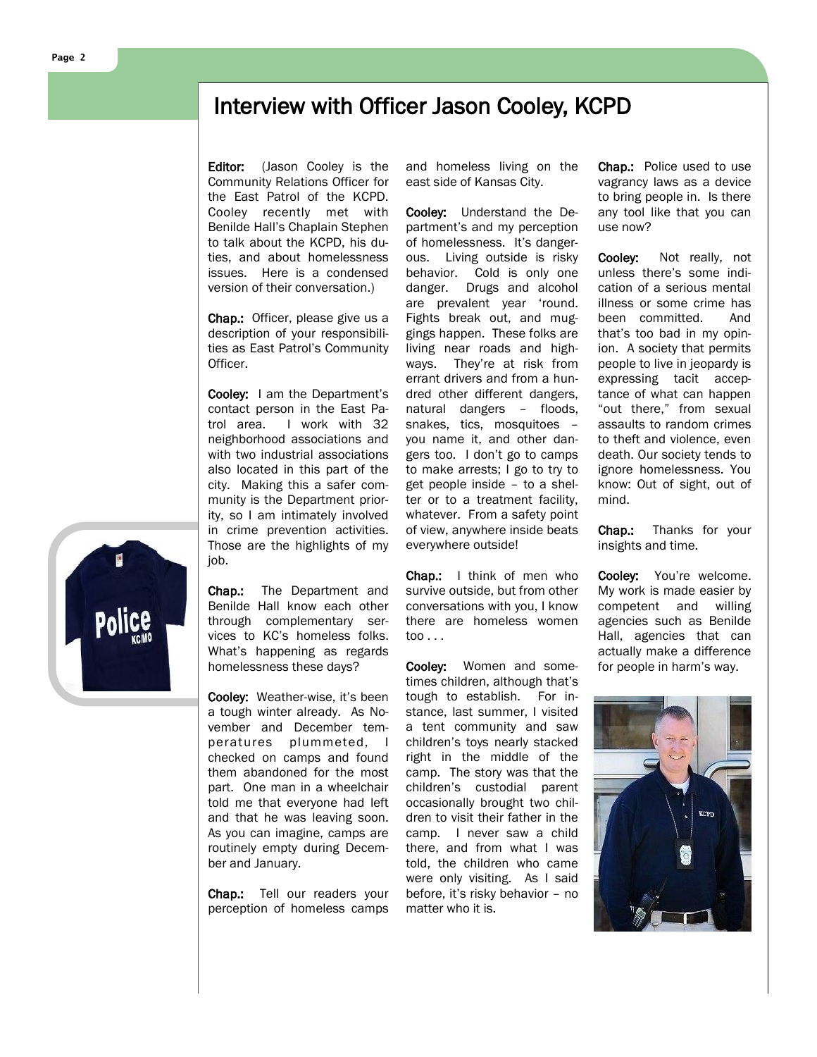## Interview with Officer Jason Cooley, KCPD

Editor: (Jason Cooley is the Community Relations Officer for the East Patrol of the KCPD. Cooley recently met with Benilde Hall's Chaplain Stephen to talk about the KCPD, his duties, and about homelessness issues. Here is a condensed version of their conversation.)

Chap.: Officer, please give us a description of your responsibilities as East Patrol's Community Officer.

Cooley: I am the Department's contact person in the East Patrol area. I work with 32 neighborhood associations and with two industrial associations also located in this part of the city. Making this a safer community is the Department priority, so I am intimately involved in crime prevention activities. Those are the highlights of my job.

Chap.: The Department and Benilde Hall know each other through complementary services to KC's homeless folks. What's happening as regards homelessness these days?

Cooley: Weather-wise, it's been a tough winter already. As November and December temperatures plummeted, I checked on camps and found them abandoned for the most part. One man in a wheelchair told me that everyone had left and that he was leaving soon. As you can imagine, camps are routinely empty during December and January.

Chap.: Tell our readers your perception of homeless camps

and homeless living on the east side of Kansas City.

Cooley: Understand the Department's and my perception of homelessness. It's dangerous. Living outside is risky behavior. Cold is only one danger. Drugs and alcohol are prevalent year 'round. Fights break out, and muggings happen. These folks are living near roads and highways. They're at risk from errant drivers and from a hundred other different dangers, natural dangers – floods, snakes, tics, mosquitoes – you name it, and other dangers too. I don't go to camps to make arrests; I go to try to get people inside – to a shelter or to a treatment facility, whatever. From a safety point of view, anywhere inside beats everywhere outside!

Chap.: I think of men who survive outside, but from other conversations with you, I know there are homeless women too . . .

Cooley: Women and sometimes children, although that's tough to establish. For instance, last summer, I visited a tent community and saw children's toys nearly stacked right in the middle of the camp. The story was that the children's custodial parent occasionally brought two children to visit their father in the camp. I never saw a child there, and from what I was told, the children who came were only visiting. As I said before, it's risky behavior – no matter who it is.

Chap.: Police used to use vagrancy laws as a device to bring people in. Is there any tool like that you can use now?

Cooley: Not really, not unless there's some indication of a serious mental illness or some crime has been committed. And that's too bad in my opinion. A society that permits people to live in jeopardy is expressing tacit acceptance of what can happen "out there," from sexual assaults to random crimes to theft and violence, even death. Our society tends to ignore homelessness. You know: Out of sight, out of mind.

Chap.: Thanks for your insights and time.

Cooley: You're welcome. My work is made easier by competent and willing agencies such as Benilde Hall, agencies that can actually make a difference for people in harm's way.



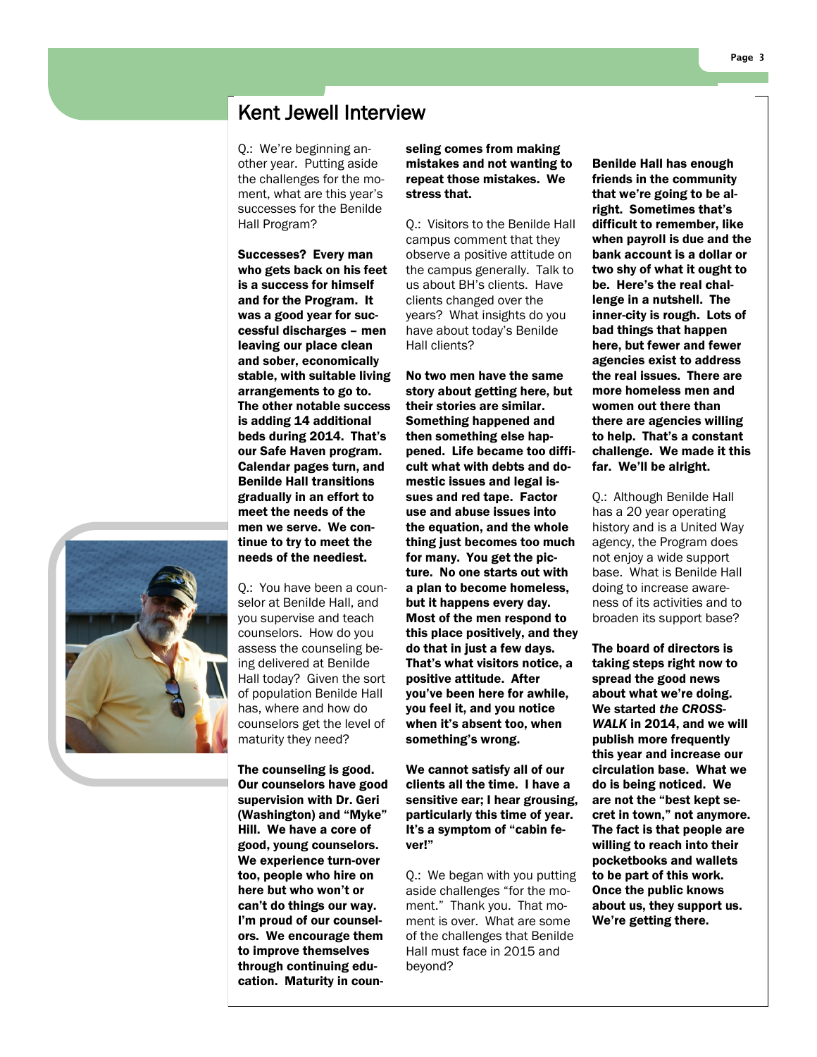## Kent Jewell Interview

Q.: We're beginning another year. Putting aside the challenges for the moment, what are this year's successes for the Benilde Hall Program?

Successes? Every man who gets back on his feet is a success for himself and for the Program. It was a good year for successful discharges – men leaving our place clean and sober, economically stable, with suitable living arrangements to go to. The other notable success is adding 14 additional beds during 2014. That's our Safe Haven program. Calendar pages turn, and Benilde Hall transitions gradually in an effort to meet the needs of the men we serve. We continue to try to meet the needs of the neediest.

Q.: You have been a counselor at Benilde Hall, and you supervise and teach counselors. How do you assess the counseling being delivered at Benilde Hall today? Given the sort of population Benilde Hall has, where and how do counselors get the level of

maturity they need? The counseling is good. Our counselors have good supervision with Dr. Geri (Washington) and "Myke" Hill. We have a core of good, young counselors. We experience turn-over too, people who hire on here but who won't or can't do things our way. I'm proud of our counselors. We encourage them to improve themselves through continuing education. Maturity in counseling comes from making mistakes and not wanting to repeat those mistakes. We stress that.

Q.: Visitors to the Benilde Hall campus comment that they observe a positive attitude on the campus generally. Talk to us about BH's clients. Have clients changed over the years? What insights do you have about today's Benilde Hall clients?

No two men have the same story about getting here, but their stories are similar. Something happened and then something else happened. Life became too difficult what with debts and domestic issues and legal issues and red tape. Factor use and abuse issues into the equation, and the whole thing just becomes too much for many. You get the picture. No one starts out with a plan to become homeless, but it happens every day. Most of the men respond to this place positively, and they do that in just a few days. That's what visitors notice, a positive attitude. After you've been here for awhile, you feel it, and you notice when it's absent too, when something's wrong.

We cannot satisfy all of our clients all the time. I have a sensitive ear; I hear grousing, particularly this time of year. It's a symptom of "cabin fever!"

Q.: We began with you putting aside challenges "for the moment." Thank you. That moment is over. What are some of the challenges that Benilde Hall must face in 2015 and beyond?

Benilde Hall has enough friends in the community that we're going to be alright. Sometimes that's difficult to remember, like when payroll is due and the bank account is a dollar or two shy of what it ought to be. Here's the real challenge in a nutshell. The inner-city is rough. Lots of bad things that happen here, but fewer and fewer agencies exist to address the real issues. There are more homeless men and women out there than there are agencies willing to help. That's a constant challenge. We made it this far. We'll be alright.

Q.: Although Benilde Hall has a 20 year operating history and is a United Way agency, the Program does not enjoy a wide support base. What is Benilde Hall doing to increase awareness of its activities and to broaden its support base?

The board of directors is taking steps right now to spread the good news about what we're doing. We started *the CROSS-WALK* in 2014, and we will publish more frequently this year and increase our circulation base. What we do is being noticed. We are not the "best kept secret in town," not anymore. The fact is that people are willing to reach into their pocketbooks and wallets to be part of this work. Once the public knows about us, they support us. We're getting there.